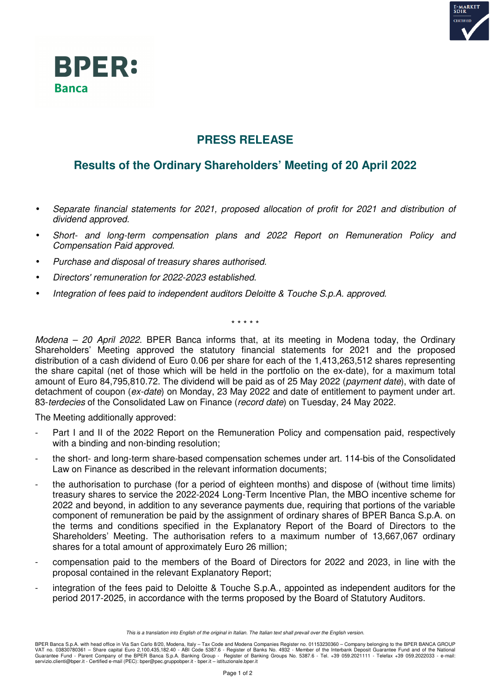



## **PRESS RELEASE**

## **Results of the Ordinary Shareholders' Meeting of 20 April 2022**

- *Separate financial statements for 2021, proposed allocation of profit for 2021 and distribution of dividend approved.*
- *Short- and long-term compensation plans and 2022 Report on Remuneration Policy and Compensation Paid approved.*
- *Purchase and disposal of treasury shares authorised.*
- *Directors' remuneration for 2022-2023 established.*
- *Integration of fees paid to independent auditors Deloitte & Touche S.p.A. approved.*

\* \* \* \* \*

*Modena – 20 April 2022*. BPER Banca informs that, at its meeting in Modena today, the Ordinary Shareholders' Meeting approved the statutory financial statements for 2021 and the proposed distribution of a cash dividend of Euro 0.06 per share for each of the 1,413,263,512 shares representing the share capital (net of those which will be held in the portfolio on the ex-date), for a maximum total amount of Euro 84,795,810.72. The dividend will be paid as of 25 May 2022 (*payment date*), with date of detachment of coupon (*ex-date*) on Monday, 23 May 2022 and date of entitlement to payment under art. 83-*terdecies* of the Consolidated Law on Finance (*record date*) on Tuesday, 24 May 2022.

The Meeting additionally approved:

- Part I and II of the 2022 Report on the Remuneration Policy and compensation paid, respectively with a binding and non-binding resolution:
- the short- and long-term share-based compensation schemes under art. 114-bis of the Consolidated Law on Finance as described in the relevant information documents;
- the authorisation to purchase (for a period of eighteen months) and dispose of (without time limits) treasury shares to service the 2022-2024 Long-Term Incentive Plan, the MBO incentive scheme for 2022 and beyond, in addition to any severance payments due, requiring that portions of the variable component of remuneration be paid by the assignment of ordinary shares of BPER Banca S.p.A. on the terms and conditions specified in the Explanatory Report of the Board of Directors to the Shareholders' Meeting. The authorisation refers to a maximum number of 13,667,067 ordinary shares for a total amount of approximately Euro 26 million;
- compensation paid to the members of the Board of Directors for 2022 and 2023, in line with the proposal contained in the relevant Explanatory Report;
- integration of the fees paid to Deloitte & Touche S.p.A., appointed as independent auditors for the period 2017-2025, in accordance with the terms proposed by the Board of Statutory Auditors.

*This is a translation into English of the original in Italian. The Italian text shall prevail over the English version.*